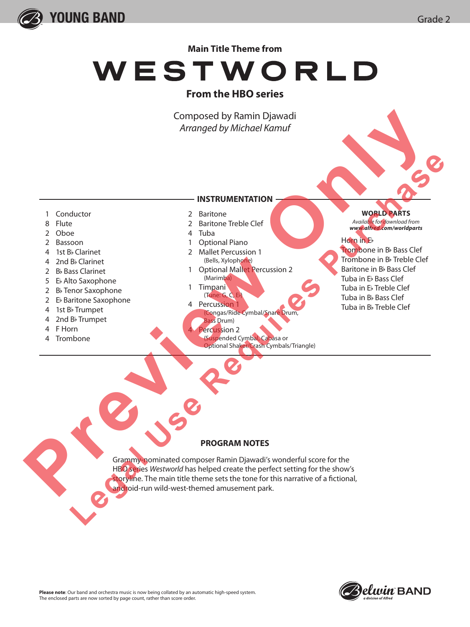



# **Main Title Theme from** WESTWORLD

## **From the HBO series**

Composed by Ramin Djawadi *Arranged by Michael Kamuf*

- 1 Conductor
- 8 Flute
- 2 Oboe
- 2 Bassoon
- 4 1st Bb Clarinet
- 4 2nd Bb Clarinet
- 2 Bb Bass Clarinet
- 5 Eb Alto Saxophone
- 2 Bb Tenor Saxophone
- 2 Eb Baritone Saxophone
- 4 1st Bb Trumpet
- 4 2nd Bb Trumpet
- 4 F Horn
- 4 Trombone
- **INSTRUMENTATION**
- 2 Baritone
- 2 Baritone Treble Clef
- 4 Tuba
- 1 Optional Piano
- 2 Mallet Percussion 1 (Bells, Xylophone)
- 1 Optional Mallet Percussion 2 (Marimba)
- 1 Timpani (Tune: G, C, Eb)
- Percussion 1 (Congas/Ride Cymbal/Snare Drum,
	- Bass Drum)
	- **Percussion 2**

(Suspended Cymbal, Cabasa or Optional Shaker/Crash Cymbals/Triangle)

#### **WORLD PARTS** *Available for download from www.alfred.com/worldparts*

### Horn in Eb

Trombone in B<sub>b</sub> Bass Clef Trombone in B<sub>b</sub> Treble Clef Baritone in Bb Bass Clef Tuba in Eb Bass Clef Tuba in Eb Treble Clef Tuba in Bb Bass Clef Tuba in Bb Treble Clef

## **PROGRAM NOTES**

Grammy-nominated composer Ramin Djawadi's wonderful score for the HBO series *Westworld* has helped create the perfect setting for the show's storyline. The main title theme sets the tone for this narrative of a fictional, android-run wild-west-themed amusement park. Control of *Prediction* Control of *Prediction* Control of *Prediction* Control of *Prediction* Control of *Prediction* Control of *Prediction* Control of *Prediction* Control of *Prediction* Control of *Prediction* Contro **Legal Use And Construction And Construction Construction And Construction Construction Construction Construction Construction Construction Construction Construction Constrained Constrained Constrained Constrained Constrai** 

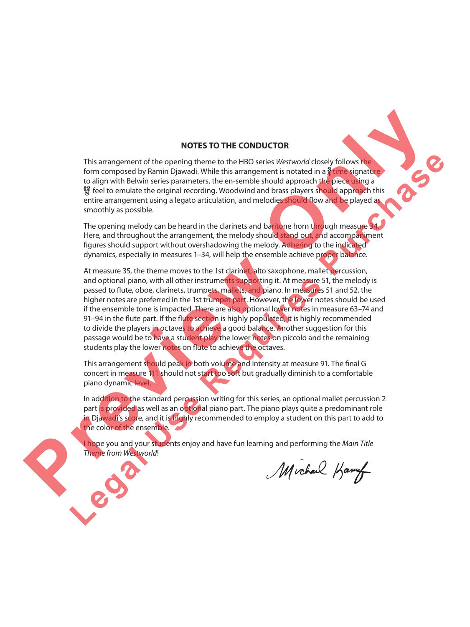#### **NOTES TO THE CONDUCTOR**

This arrangement of the opening theme to the HBO series *Westworld* closely follows the form composed by Ramin Djawadi. While this arrangement is notated in a  $\frac{9}{4}$  time signature to align with Belwin series parameters, the en-semble should approach the piece using a 12 ang. That Bernin Senes parameters, the en-semble should approach are precedings and the significant of the street approach this entire arrangement using a legato articulation, and melodies should flow and be played as smoothly as possible.

The opening melody can be heard in the clarinets and baritone horn through measure 34 Here, and throughout the arrangement, the melody should stand out, and accompaniment figures should support without overshadowing the melody. Adhering to the indicated dynamics, especially in measures 1–34, will help the ensemble achieve proper balance.

At measure 35, the theme moves to the 1st clarinet, alto saxophone, mallet percussion, and optional piano, with all other instruments supporting it. At measure 51, the melody is passed to flute, oboe, clarinets, trumpets, mallets, and piano. In measures 51 and 52, the higher notes are preferred in the 1st trumpet part. However, the lower notes should be used if the ensemble tone is impacted. There are also optional lower notes in measure 63–74 and 91-94 in the flute part. If the flute section is highly populated, it is highly recommended to divide the players in octaves to achieve a good balance. Another suggestion for this passage would be to have a student play the lower notes on piccolo and the remaining students play the lower notes on flute to achieve the octaves. **Pressure and throughout the angle of the time to the Hilbreton of the preview of the control of the time in the control of the strength of the strength of the strength of the strength of the strength of the strength of th** This arrangement of the opening theme to the HBO series Westwood dosely follows his composed by Romin Diswood. While this arrangement is not contained in State and the series and the series of the series of the contained t

This arrangement should peak in both volume and intensity at measure 91. The final G concert in measure 111 should not start too soft but gradually diminish to a comfortable piano dynamic level.

In addition to the standard percussion writing for this series, an optional mallet percussion 2 part is provided as well as an optional piano part. The piano plays quite a predominant role in Djawadi's score, and it is highly recommended to employ a student on this part to add to the color of the ensemble.

I hope you and your students enjoy and have fun learning and performing the *Main Title Theme from Westworld*!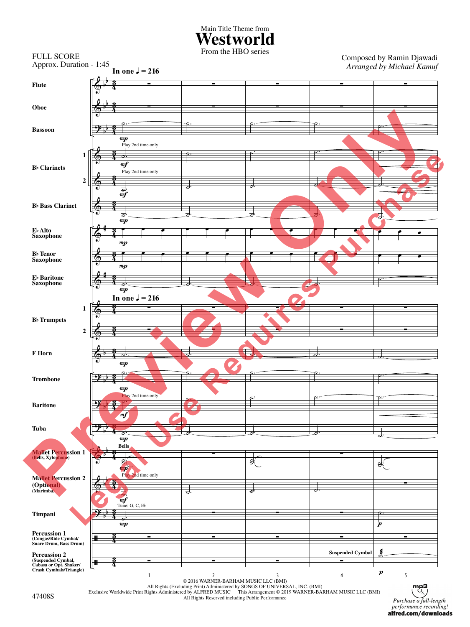# Main Title Theme from **Westworld**



Purchase a full-length<br>performance recording!<br>**alfred.com/downloads**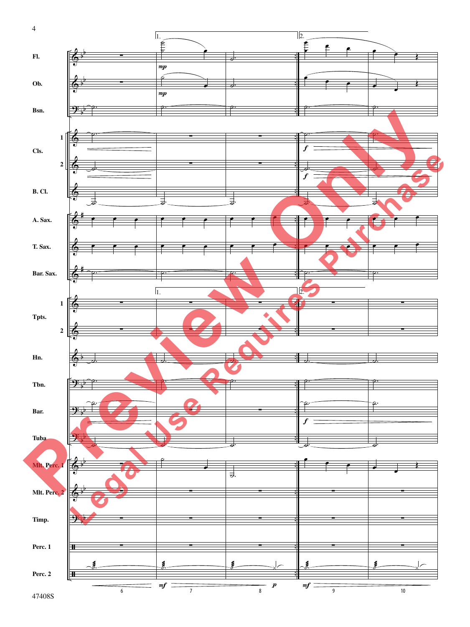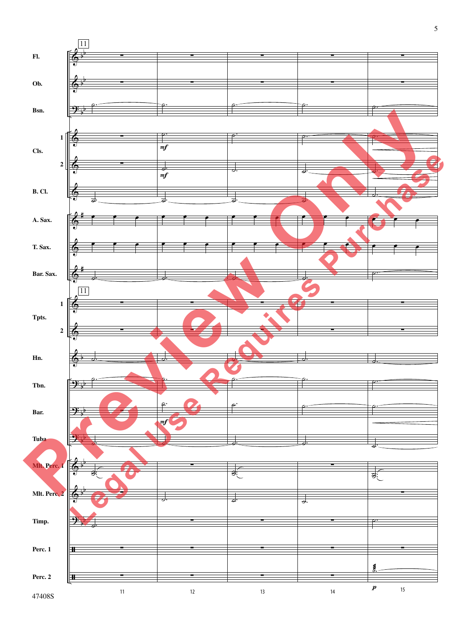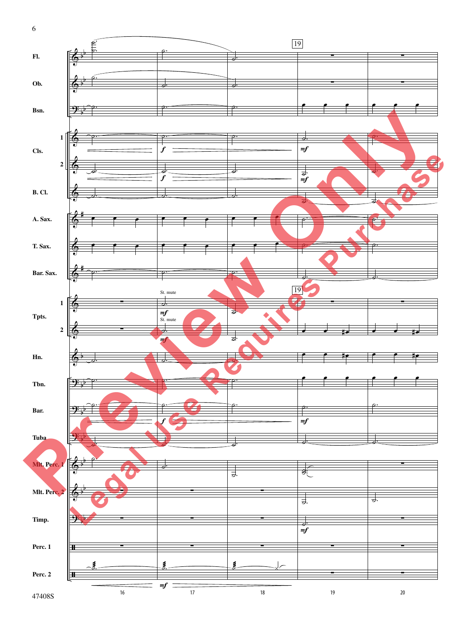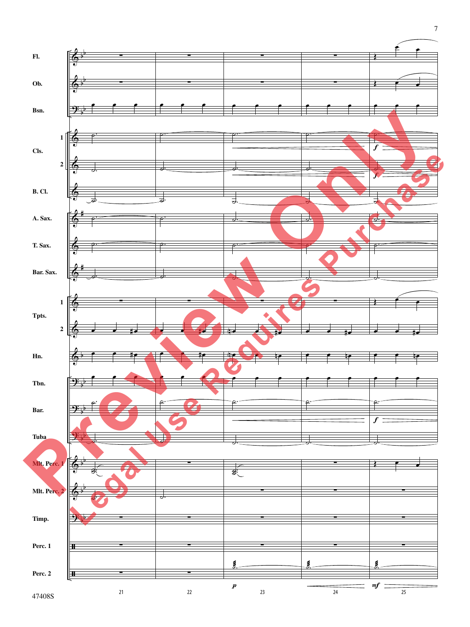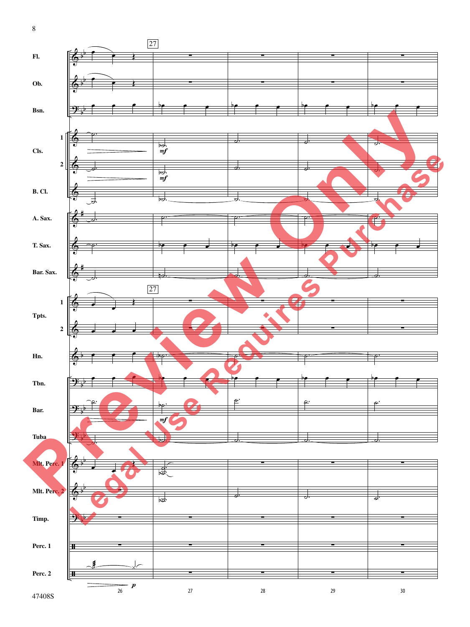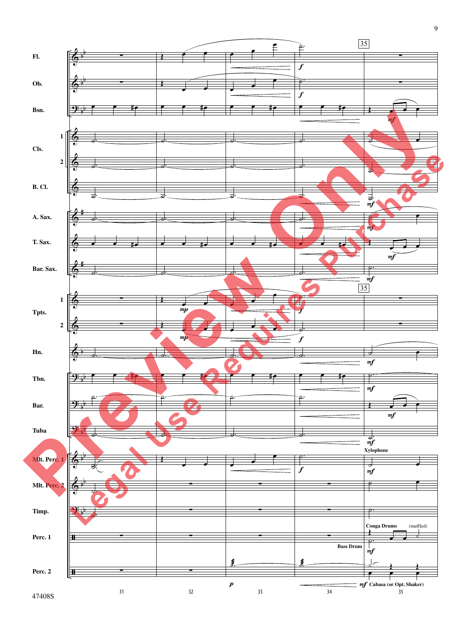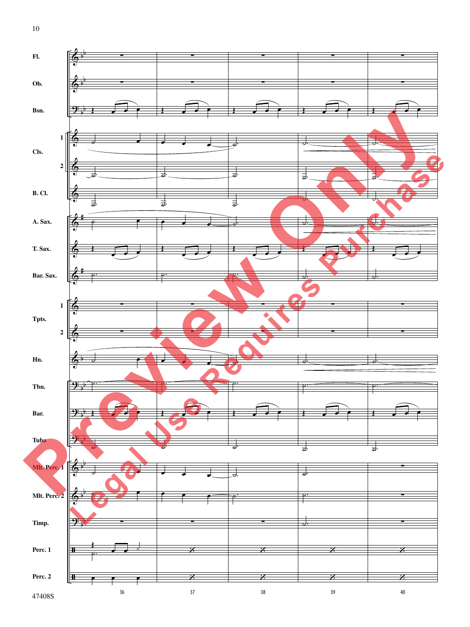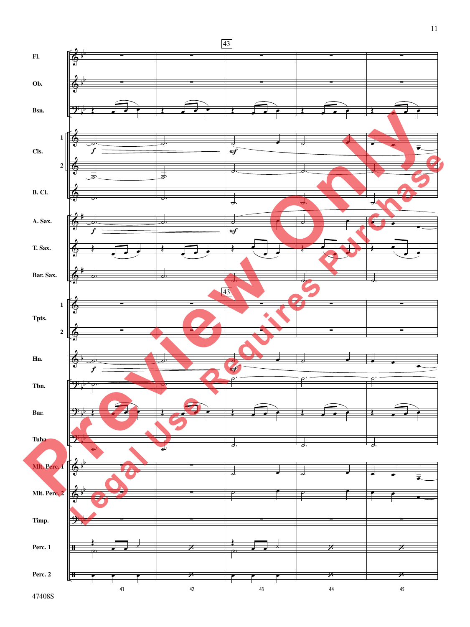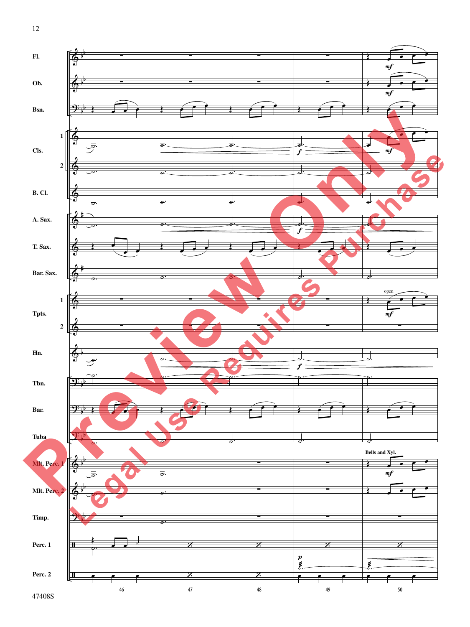![](_page_11_Figure_0.jpeg)

47408S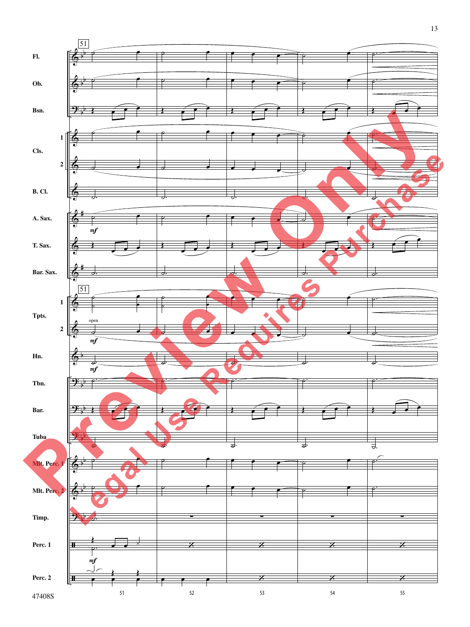![](_page_12_Figure_0.jpeg)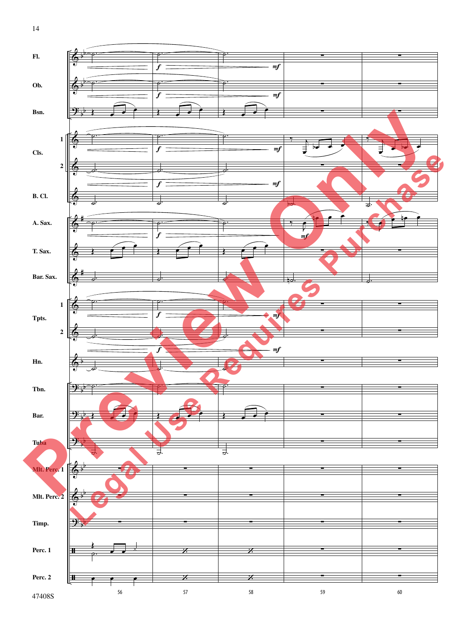![](_page_13_Figure_0.jpeg)

![](_page_13_Figure_1.jpeg)

 $\frac{1}{\sqrt{2}}$ 

59

 $\frac{1}{\sqrt{25}}$ 

 $60\,$ 

œ

è

56

47408S

**Perc. 2**

**Perc. 1**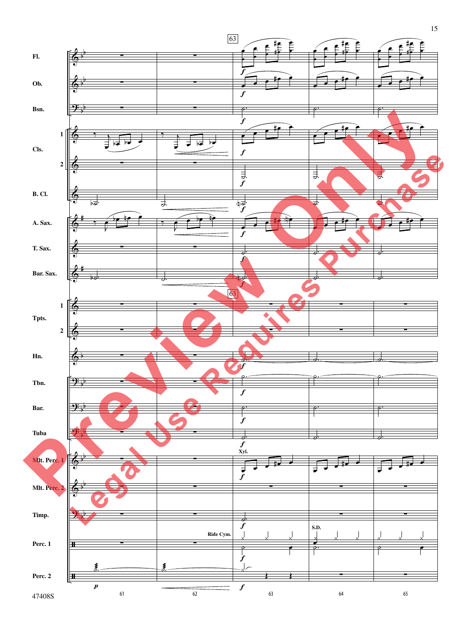![](_page_14_Figure_0.jpeg)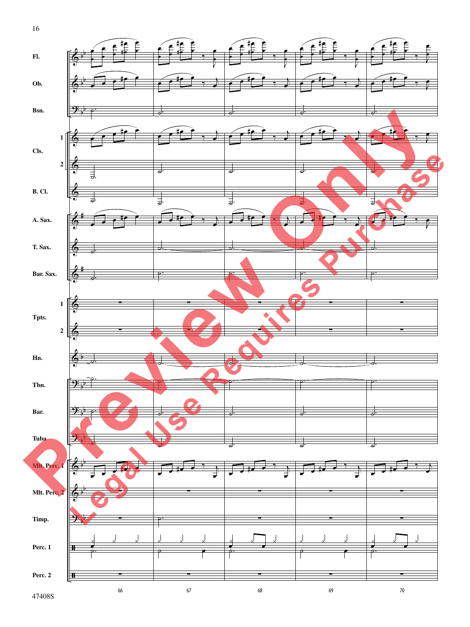![](_page_15_Figure_0.jpeg)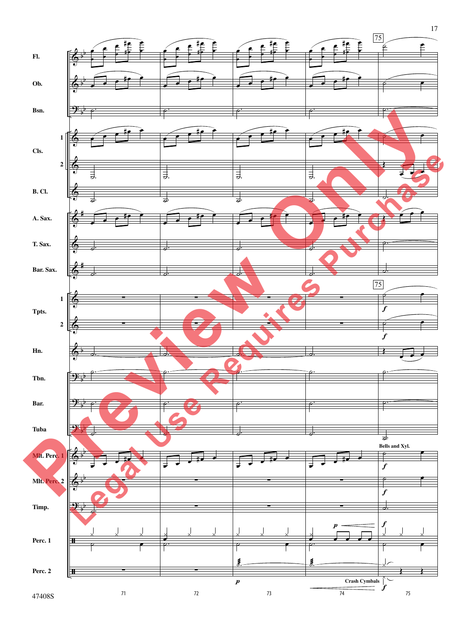![](_page_16_Figure_0.jpeg)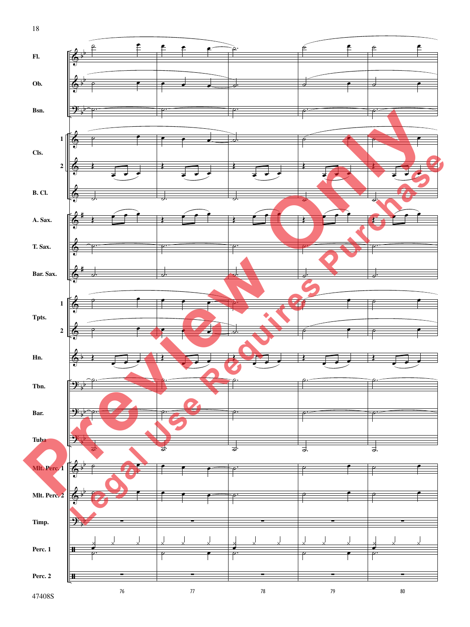![](_page_17_Figure_0.jpeg)

![](_page_17_Figure_1.jpeg)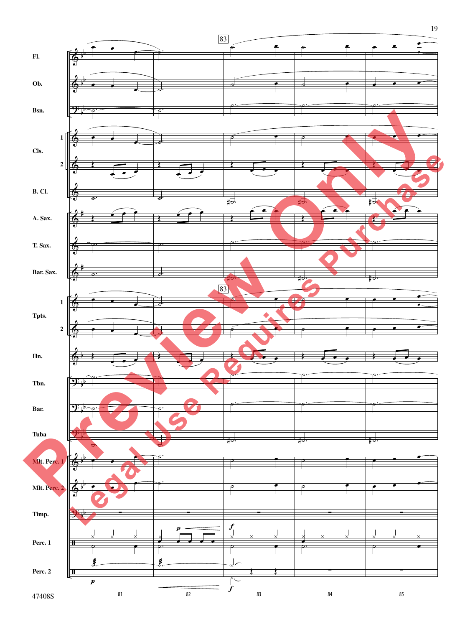![](_page_18_Figure_0.jpeg)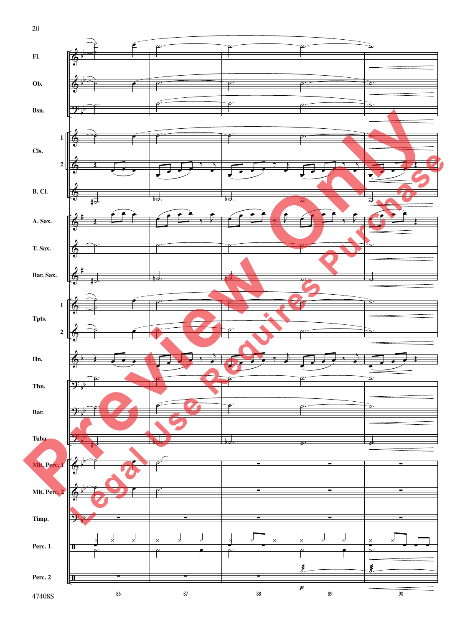![](_page_19_Figure_0.jpeg)

47408S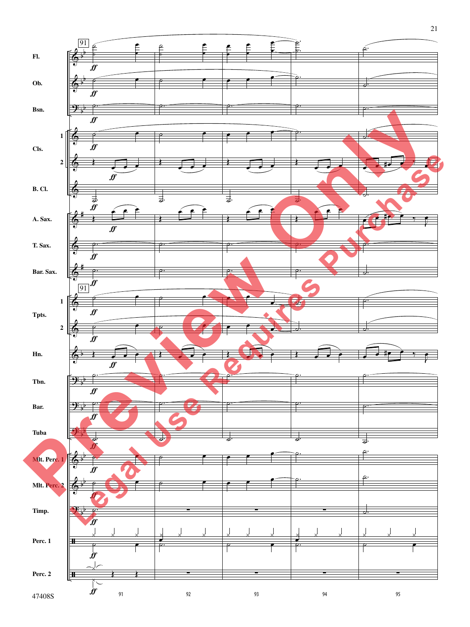![](_page_20_Figure_0.jpeg)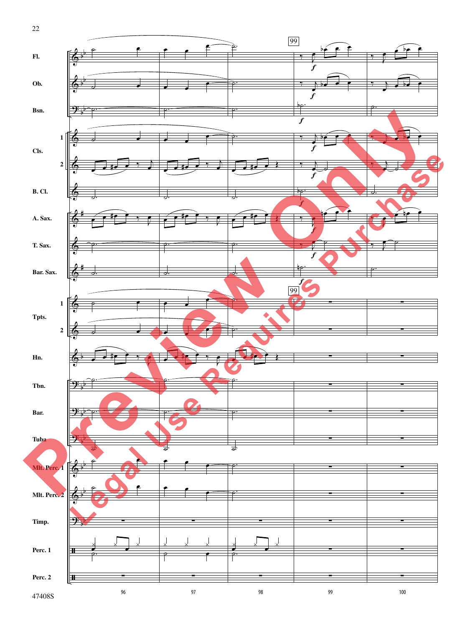![](_page_21_Figure_0.jpeg)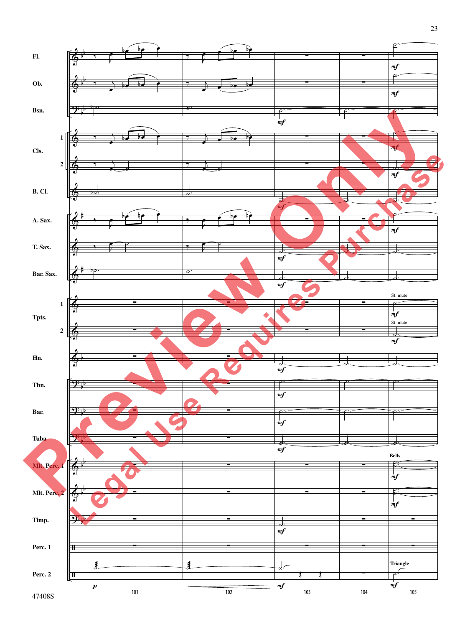![](_page_22_Figure_0.jpeg)